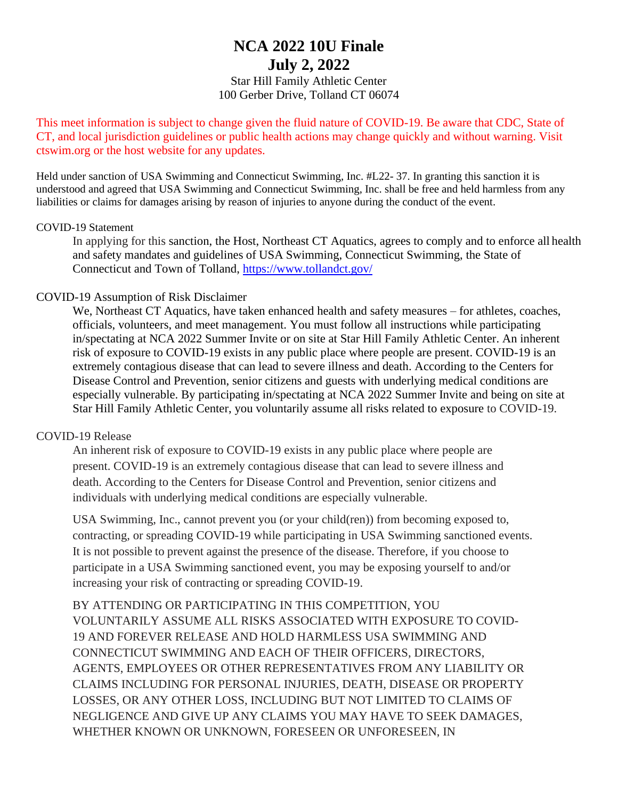# **NCA 2022 10U Finale July 2, 2022**

Star Hill Family Athletic Center 100 Gerber Drive, Tolland CT 06074

This meet information is subject to change given the fluid nature of COVID-19. Be aware that CDC, State of CT, and local jurisdiction guidelines or public health actions may change quickly and without warning. Visit ctswim.org or the host website for any updates.

Held under sanction of USA Swimming and Connecticut Swimming, Inc. #L22- 37. In granting this sanction it is understood and agreed that USA Swimming and Connecticut Swimming, Inc. shall be free and held harmless from any liabilities or claims for damages arising by reason of injuries to anyone during the conduct of the event.

#### COVID-19 Statement

In applying for this sanction, the Host, Northeast CT Aquatics, agrees to comply and to enforce all health and safety mandates and guidelines of USA Swimming, Connecticut Swimming, the State of Connecticut and Town of Tolland,<https://www.tollandct.gov/>

#### COVID-19 Assumption of Risk Disclaimer

We, Northeast CT Aquatics, have taken enhanced health and safety measures – for athletes, coaches, officials, volunteers, and meet management. You must follow all instructions while participating in/spectating at NCA 2022 Summer Invite or on site at Star Hill Family Athletic Center. An inherent risk of exposure to COVID-19 exists in any public place where people are present. COVID-19 is an extremely contagious disease that can lead to severe illness and death. According to the Centers for Disease Control and Prevention, senior citizens and guests with underlying medical conditions are especially vulnerable. By participating in/spectating at NCA 2022 Summer Invite and being on site at Star Hill Family Athletic Center, you voluntarily assume all risks related to exposure to COVID-19.

#### COVID-19 Release

An inherent risk of exposure to COVID-19 exists in any public place where people are present. COVID-19 is an extremely contagious disease that can lead to severe illness and death. According to the Centers for Disease Control and Prevention, senior citizens and individuals with underlying medical conditions are especially vulnerable.

USA Swimming, Inc., cannot prevent you (or your child(ren)) from becoming exposed to, contracting, or spreading COVID-19 while participating in USA Swimming sanctioned events. It is not possible to prevent against the presence of the disease. Therefore, if you choose to participate in a USA Swimming sanctioned event, you may be exposing yourself to and/or increasing your risk of contracting or spreading COVID-19.

BY ATTENDING OR PARTICIPATING IN THIS COMPETITION, YOU VOLUNTARILY ASSUME ALL RISKS ASSOCIATED WITH EXPOSURE TO COVID-19 AND FOREVER RELEASE AND HOLD HARMLESS USA SWIMMING AND CONNECTICUT SWIMMING AND EACH OF THEIR OFFICERS, DIRECTORS, AGENTS, EMPLOYEES OR OTHER REPRESENTATIVES FROM ANY LIABILITY OR CLAIMS INCLUDING FOR PERSONAL INJURIES, DEATH, DISEASE OR PROPERTY LOSSES, OR ANY OTHER LOSS, INCLUDING BUT NOT LIMITED TO CLAIMS OF NEGLIGENCE AND GIVE UP ANY CLAIMS YOU MAY HAVE TO SEEK DAMAGES, WHETHER KNOWN OR UNKNOWN, FORESEEN OR UNFORESEEN, IN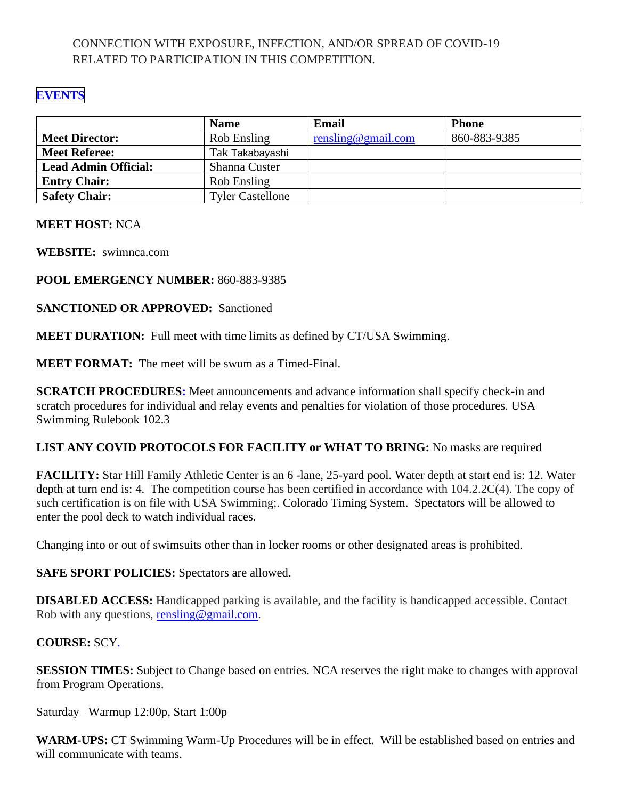### CONNECTION WITH EXPOSURE, INFECTION, AND/OR SPREAD OF COVID-19 RELATED TO PARTICIPATION IN THIS COMPETITION.

### **[EVENTS](#page-6-0)**

|                             | <b>Name</b>             | Email              | <b>Phone</b> |
|-----------------------------|-------------------------|--------------------|--------------|
| <b>Meet Director:</b>       | Rob Ensling             | rensling@gmail.com | 860-883-9385 |
| <b>Meet Referee:</b>        | Tak Takabayashi         |                    |              |
| <b>Lead Admin Official:</b> | Shanna Custer           |                    |              |
| <b>Entry Chair:</b>         | Rob Ensling             |                    |              |
| <b>Safety Chair:</b>        | <b>Tyler Castellone</b> |                    |              |

#### **MEET HOST:** NCA

**WEBSITE:** swimnca.com

### **POOL EMERGENCY NUMBER:** 860-883-9385

**SANCTIONED OR APPROVED:** Sanctioned

**MEET DURATION:** Full meet with time limits as defined by CT/USA Swimming.

**MEET FORMAT:** The meet will be swum as a Timed-Final.

**SCRATCH PROCEDURES:** Meet announcements and advance information shall specify check-in and scratch procedures for individual and relay events and penalties for violation of those procedures. USA Swimming Rulebook 102.3

### **LIST ANY COVID PROTOCOLS FOR FACILITY or WHAT TO BRING:** No masks are required

**FACILITY:** Star Hill Family Athletic Center is an 6 -lane, 25-yard pool. Water depth at start end is: 12. Water depth at turn end is: 4. The competition course has been certified in accordance with 104.2.2C(4). The copy of such certification is on file with USA Swimming;. Colorado Timing System. Spectators will be allowed to enter the pool deck to watch individual races.

Changing into or out of swimsuits other than in locker rooms or other designated areas is prohibited.

**SAFE SPORT POLICIES:** Spectators are allowed.

**DISABLED ACCESS:** Handicapped parking is available, and the facility is handicapped accessible. Contact Rob with any questions, [rensling@gmail.com.](mailto:rensling@gmail.com)

### **COURSE:** SCY.

**SESSION TIMES:** Subject to Change based on entries. NCA reserves the right make to changes with approval from Program Operations.

Saturday– Warmup 12:00p, Start 1:00p

**WARM-UPS:** CT Swimming Warm-Up Procedures will be in effect. Will be established based on entries and will communicate with teams.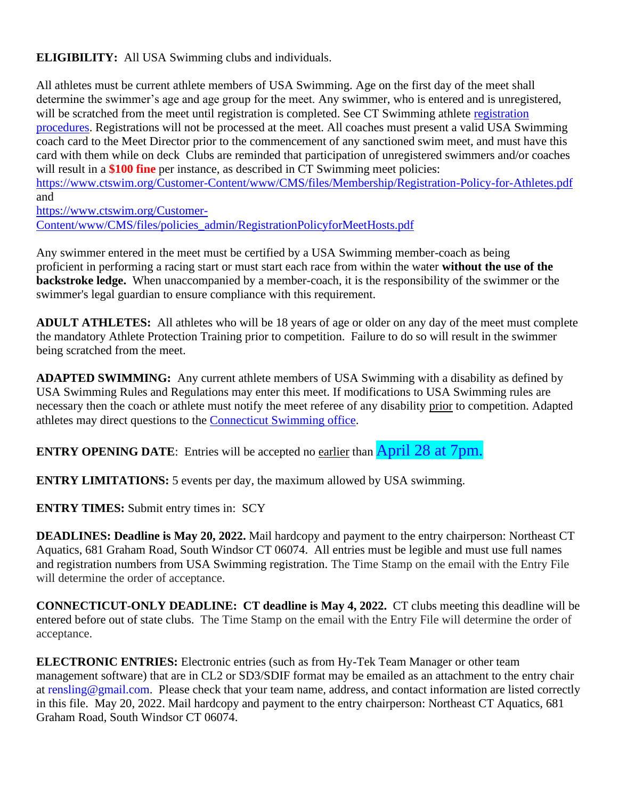**ELIGIBILITY:** All USA Swimming clubs and individuals.

All athletes must be current athlete members of USA Swimming. Age on the first day of the meet shall determine the swimmer's age and age group for the meet. Any swimmer, who is entered and is unregistered, will be scratched from the meet until [registration](https://www.ctswim.org/Membership/Athletes/) is completed. See CT Swimming athlete registration [procedures.](https://www.ctswim.org/Membership/Athletes/) Registrations will not be processed at the meet. All coaches must present a valid USA Swimming coach card to the Meet Director prior to the commencement of any sanctioned swim meet, and must have this card with them while on deck Clubs are reminded that participation of unregistered swimmers and/or coaches will result in a **\$100 fine** per instance, as described in CT Swimming meet policies:

<https://www.ctswim.org/Customer-Content/www/CMS/files/Membership/Registration-Policy-for-Athletes.pdf> and

[https://www.ctswim.org/Customer-](https://www.ctswim.org/Customer-Content/www/CMS/files/policies_admin/RegistrationPolicyforMeetHosts.pdf)[Content/www/CMS/files/policies\\_admin/RegistrationPolicyforMeetHosts.pdf](https://www.ctswim.org/Customer-Content/www/CMS/files/policies_admin/RegistrationPolicyforMeetHosts.pdf)

Any swimmer entered in the meet must be certified by a USA Swimming member-coach as being proficient in performing a racing start or must start each race from within the water **without the use of the backstroke ledge.** When unaccompanied by a member-coach, it is the responsibility of the swimmer or the swimmer's legal guardian to ensure compliance with this requirement.

**ADULT ATHLETES:** All athletes who will be 18 years of age or older on any day of the meet must complete the mandatory Athlete Protection Training prior to competition. Failure to do so will result in the swimmer being scratched from the meet.

**ADAPTED SWIMMING:** Any current athlete members of USA Swimming with a disability as defined by USA Swimming Rules and Regulations may enter this meet. If modifications to USA Swimming rules are necessary then the coach or athlete must notify the meet referee of any disability prior to competition. Adapted athletes may direct questions to the [Connecticut Swimming office.](mailto:office@ctswim.org)

**ENTRY OPENING DATE:** Entries will be accepted no earlier than **April 28 at 7pm.** 

**ENTRY LIMITATIONS:** 5 events per day, the maximum allowed by USA swimming.

**ENTRY TIMES:** Submit entry times in: SCY

**DEADLINES: Deadline is May 20, 2022.** Mail hardcopy and payment to the entry chairperson: Northeast CT Aquatics, 681 Graham Road, South Windsor CT 06074. All entries must be legible and must use full names and registration numbers from USA Swimming registration. The Time Stamp on the email with the Entry File will determine the order of acceptance.

**CONNECTICUT-ONLY DEADLINE: CT deadline is May 4, 2022.** CT clubs meeting this deadline will be entered before out of state clubs. The Time Stamp on the email with the Entry File will determine the order of acceptance.

**ELECTRONIC ENTRIES:** Electronic entries (such as from Hy-Tek Team Manager or other team management software) that are in CL2 or SD3/SDIF format may be emailed as an attachment to the entry chair at rensling@gmail.com. Please check that your team name, address, and contact information are listed correctly in this file. May 20, 2022. Mail hardcopy and payment to the entry chairperson: Northeast CT Aquatics, 681 Graham Road, South Windsor CT 06074.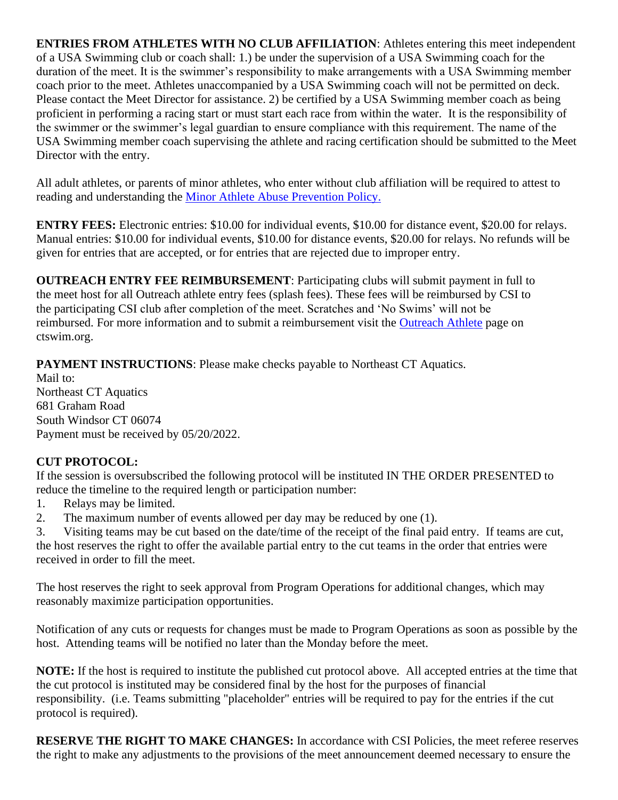**ENTRIES FROM ATHLETES WITH NO CLUB AFFILIATION**: Athletes entering this meet independent of a USA Swimming club or coach shall: 1.) be under the supervision of a USA Swimming coach for the duration of the meet. It is the swimmer's responsibility to make arrangements with a USA Swimming member coach prior to the meet. Athletes unaccompanied by a USA Swimming coach will not be permitted on deck. Please contact the Meet Director for assistance. 2) be certified by a USA Swimming member coach as being proficient in performing a racing start or must start each race from within the water. It is the responsibility of the swimmer or the swimmer's legal guardian to ensure compliance with this requirement. The name of the USA Swimming member coach supervising the athlete and racing certification should be submitted to the Meet Director with the entry.

All adult athletes, or parents of minor athletes, who enter without club affiliation will be required to attest to reading and understanding the [Minor Athlete Abuse Prevention Policy.](https://www.usaswimming.org/utility/landing-pages/minor-athlete-abuse-prevention-policy)

**ENTRY FEES:** Electronic entries: \$10.00 for individual events, \$10.00 for distance event, \$20.00 for relays. Manual entries: \$10.00 for individual events, \$10.00 for distance events, \$20.00 for relays. No refunds will be given for entries that are accepted, or for entries that are rejected due to improper entry.

**OUTREACH ENTRY FEE REIMBURSEMENT**: Participating clubs will submit payment in full to the meet host for all Outreach athlete entry fees (splash fees). These fees will be reimbursed by CSI to the participating CSI club after completion of the meet. Scratches and 'No Swims' will not be reimbursed. For more information and to submit a reimbursement visit the [Outreach Athlete](https://www.ctswim.org/Membership/Athlete-Outreach/) page on ctswim.org.

**PAYMENT INSTRUCTIONS**: Please make checks payable to Northeast CT Aquatics.

Mail to: Northeast CT Aquatics 681 Graham Road South Windsor CT 06074 Payment must be received by 05/20/2022.

### **CUT PROTOCOL:**

If the session is oversubscribed the following protocol will be instituted IN THE ORDER PRESENTED to reduce the timeline to the required length or participation number:

- 1. Relays may be limited.
- 2. The maximum number of events allowed per day may be reduced by one (1).

3. Visiting teams may be cut based on the date/time of the receipt of the final paid entry. If teams are cut, the host reserves the right to offer the available partial entry to the cut teams in the order that entries were received in order to fill the meet.

The host reserves the right to seek approval from Program Operations for additional changes, which may reasonably maximize participation opportunities.

Notification of any cuts or requests for changes must be made to Program Operations as soon as possible by the host. Attending teams will be notified no later than the Monday before the meet.

**NOTE:** If the host is required to institute the published cut protocol above. All accepted entries at the time that the cut protocol is instituted may be considered final by the host for the purposes of financial responsibility. (i.e. Teams submitting "placeholder" entries will be required to pay for the entries if the cut protocol is required).

**RESERVE THE RIGHT TO MAKE CHANGES:** In accordance with CSI Policies, the meet referee reserves the right to make any adjustments to the provisions of the meet announcement deemed necessary to ensure the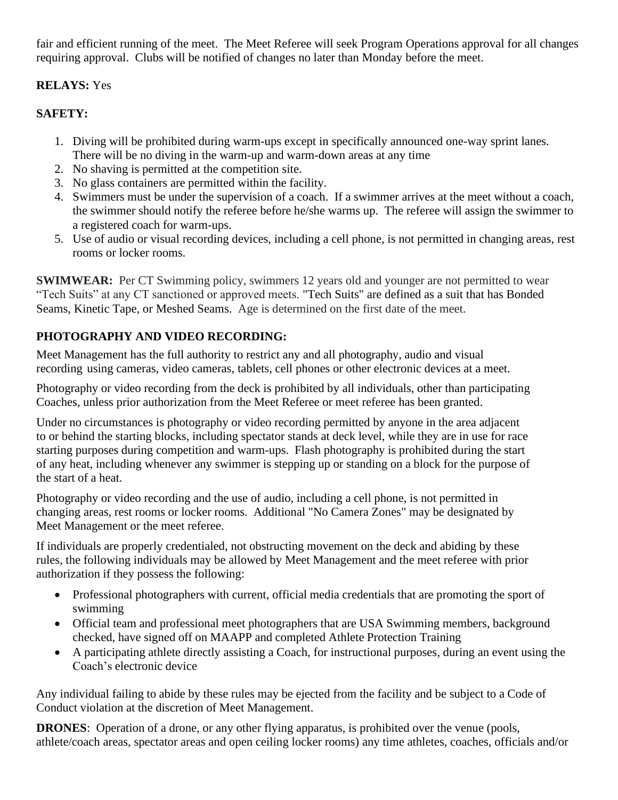fair and efficient running of the meet. The Meet Referee will seek Program Operations approval for all changes requiring approval. Clubs will be notified of changes no later than Monday before the meet.

### **RELAYS:** Yes

## **SAFETY:**

- 1. Diving will be prohibited during warm-ups except in specifically announced one-way sprint lanes. There will be no diving in the warm-up and warm-down areas at any time
- 2. No shaving is permitted at the competition site.
- 3. No glass containers are permitted within the facility.
- 4. Swimmers must be under the supervision of a coach. If a swimmer arrives at the meet without a coach, the swimmer should notify the referee before he/she warms up. The referee will assign the swimmer to a registered coach for warm-ups.
- 5. Use of audio or visual recording devices, including a cell phone, is not permitted in changing areas, rest rooms or locker rooms.

**SWIMWEAR:** Per CT Swimming policy, swimmers 12 years old and younger are not permitted to wear "Tech Suits" at any CT sanctioned or approved meets. "Tech Suits" are defined as a suit that has Bonded Seams, Kinetic Tape, or Meshed Seams. Age is determined on the first date of the meet.

# **PHOTOGRAPHY AND VIDEO RECORDING:**

Meet Management has the full authority to restrict any and all photography, audio and visual recording using cameras, video cameras, tablets, cell phones or other electronic devices at a meet.

Photography or video recording from the deck is prohibited by all individuals, other than participating Coaches, unless prior authorization from the Meet Referee or meet referee has been granted.

Under no circumstances is photography or video recording permitted by anyone in the area adjacent to or behind the starting blocks, including spectator stands at deck level, while they are in use for race starting purposes during competition and warm-ups. Flash photography is prohibited during the start of any heat, including whenever any swimmer is stepping up or standing on a block for the purpose of the start of a heat.

Photography or video recording and the use of audio, including a cell phone, is not permitted in changing areas, rest rooms or locker rooms. Additional "No Camera Zones" may be designated by Meet Management or the meet referee.

If individuals are properly credentialed, not obstructing movement on the deck and abiding by these rules, the following individuals may be allowed by Meet Management and the meet referee with prior authorization if they possess the following:

- Professional photographers with current, official media credentials that are promoting the sport of swimming
- Official team and professional meet photographers that are USA Swimming members, background checked, have signed off on MAAPP and completed Athlete Protection Training
- A participating athlete directly assisting a Coach, for instructional purposes, during an event using the Coach's electronic device

Any individual failing to abide by these rules may be ejected from the facility and be subject to a Code of Conduct violation at the discretion of Meet Management.

**DRONES**: Operation of a drone, or any other flying apparatus, is prohibited over the venue (pools, athlete/coach areas, spectator areas and open ceiling locker rooms) any time athletes, coaches, officials and/or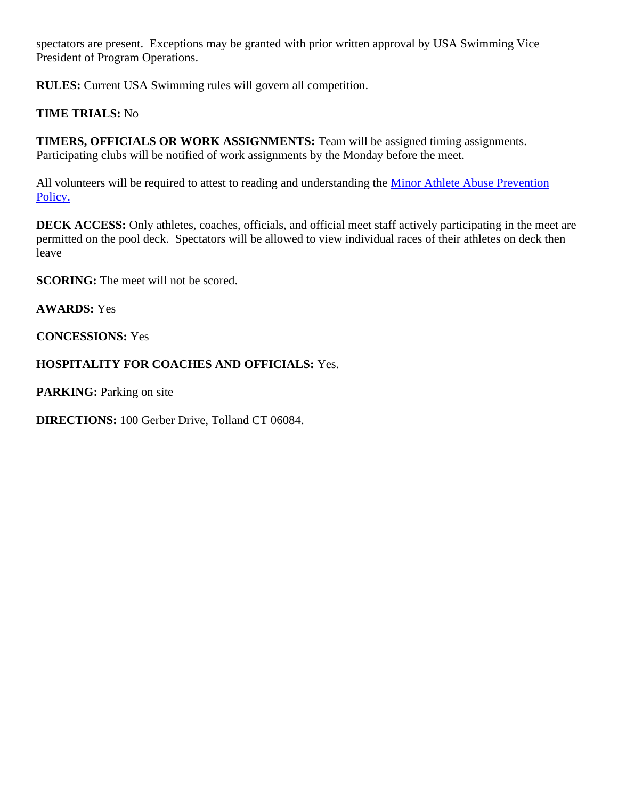spectators are present. Exceptions may be granted with prior written approval by USA Swimming Vice President of Program Operations.

**RULES:** Current USA Swimming rules will govern all competition.

### **TIME TRIALS:** No

**TIMERS, OFFICIALS OR WORK ASSIGNMENTS:** Team will be assigned timing assignments. Participating clubs will be notified of work assignments by the Monday before the meet.

All volunteers will be required to attest to reading and understanding the Minor Athlete Abuse Prevention [Policy.](https://www.usaswimming.org/utility/landing-pages/minor-athlete-abuse-prevention-policy)

**DECK ACCESS:** Only athletes, coaches, officials, and official meet staff actively participating in the meet are permitted on the pool deck. Spectators will be allowed to view individual races of their athletes on deck then leave

**SCORING:** The meet will not be scored.

#### **AWARDS:** Yes

**CONCESSIONS:** Yes

### **HOSPITALITY FOR COACHES AND OFFICIALS:** Yes.

**PARKING:** Parking on site

**DIRECTIONS:** 100 Gerber Drive, Tolland CT 06084.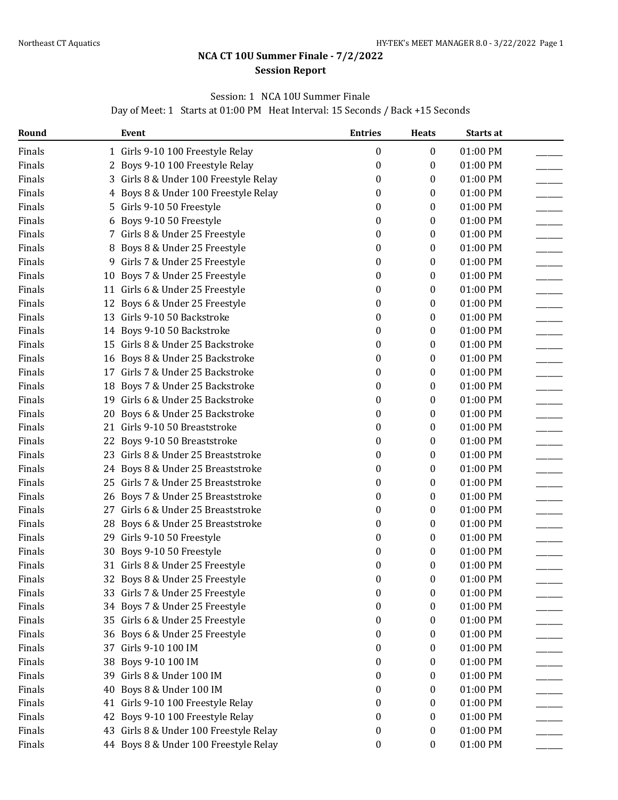### **NCA CT 10U Summer Finale - 7/2/2022 Session Report**

### Session: 1 NCA 10U Summer Finale

Day of Meet: 1 Starts at 01:00 PM Heat Interval: 15 Seconds / Back +15 Seconds

<span id="page-6-0"></span>

| Round  |    | Event                                  | <b>Entries</b>   | <b>Heats</b>     | Starts at |  |
|--------|----|----------------------------------------|------------------|------------------|-----------|--|
| Finals |    | 1 Girls 9-10 100 Freestyle Relay       | 0                | $\boldsymbol{0}$ | 01:00 PM  |  |
| Finals |    | 2 Boys 9-10 100 Freestyle Relay        | 0                | 0                | 01:00 PM  |  |
| Finals |    | 3 Girls 8 & Under 100 Freestyle Relay  | 0                | 0                | 01:00 PM  |  |
| Finals | 4  | Boys 8 & Under 100 Freestyle Relay     | 0                | 0                | 01:00 PM  |  |
| Finals | 5. | Girls 9-10 50 Freestyle                | 0                | 0                | 01:00 PM  |  |
| Finals |    | 6 Boys 9-10 50 Freestyle               | 0                | 0                | 01:00 PM  |  |
| Finals |    | 7 Girls 8 & Under 25 Freestyle         | 0                | 0                | 01:00 PM  |  |
| Finals | 8  | Boys 8 & Under 25 Freestyle            | 0                | $\bf{0}$         | 01:00 PM  |  |
| Finals | 9  | Girls 7 & Under 25 Freestyle           | 0                | 0                | 01:00 PM  |  |
| Finals | 10 | Boys 7 & Under 25 Freestyle            | 0                | 0                | 01:00 PM  |  |
| Finals |    | 11 Girls 6 & Under 25 Freestyle        | 0                | 0                | 01:00 PM  |  |
| Finals |    | 12 Boys 6 & Under 25 Freestyle         | 0                | 0                | 01:00 PM  |  |
| Finals |    | 13 Girls 9-10 50 Backstroke            | 0                | 0                | 01:00 PM  |  |
| Finals |    | 14 Boys 9-10 50 Backstroke             | 0                | 0                | 01:00 PM  |  |
| Finals |    | 15 Girls 8 & Under 25 Backstroke       | 0                | $\bf{0}$         | 01:00 PM  |  |
| Finals |    | 16 Boys 8 & Under 25 Backstroke        | 0                | $\bf{0}$         | 01:00 PM  |  |
| Finals |    | 17 Girls 7 & Under 25 Backstroke       | 0                | 0                | 01:00 PM  |  |
| Finals | 18 | Boys 7 & Under 25 Backstroke           | 0                | 0                | 01:00 PM  |  |
| Finals |    | 19 Girls 6 & Under 25 Backstroke       | 0                | 0                | 01:00 PM  |  |
| Finals |    | 20 Boys 6 & Under 25 Backstroke        | 0                | 0                | 01:00 PM  |  |
| Finals |    | 21 Girls 9-10 50 Breaststroke          | 0                | 0                | 01:00 PM  |  |
| Finals |    | 22 Boys 9-10 50 Breaststroke           | 0                | 0                | 01:00 PM  |  |
| Finals |    | 23 Girls 8 & Under 25 Breaststroke     | 0                | $\bf{0}$         | 01:00 PM  |  |
| Finals |    | 24 Boys 8 & Under 25 Breaststroke      | 0                | 0                | 01:00 PM  |  |
| Finals |    | 25 Girls 7 & Under 25 Breaststroke     | 0                | 0                | 01:00 PM  |  |
| Finals |    | 26 Boys 7 & Under 25 Breaststroke      | 0                | 0                | 01:00 PM  |  |
| Finals |    | 27 Girls 6 & Under 25 Breaststroke     | 0                | 0                | 01:00 PM  |  |
| Finals | 28 | Boys 6 & Under 25 Breaststroke         | 0                | 0                | 01:00 PM  |  |
| Finals |    | 29 Girls 9-10 50 Freestyle             | 0                | 0                | 01:00 PM  |  |
| Finals |    | 30 Boys 9-10 50 Freestyle              | 0                | $\bf{0}$         | 01:00 PM  |  |
| Finals |    | 31 Girls 8 & Under 25 Freestyle        | 0                | 0                | 01:00 PM  |  |
| Finals |    | 32 Boys 8 & Under 25 Freestyle         | $\boldsymbol{0}$ | 0                | 01:00 PM  |  |
| Finals |    | 33 Girls 7 & Under 25 Freestyle        | 0                | $\bf{0}$         | 01:00 PM  |  |
| Finals |    | 34 Boys 7 & Under 25 Freestyle         | 0                | $\bf{0}$         | 01:00 PM  |  |
| Finals |    | 35 Girls 6 & Under 25 Freestyle        | 0                | $\bf{0}$         | 01:00 PM  |  |
| Finals |    | 36 Boys 6 & Under 25 Freestyle         | 0                | $\bf{0}$         | 01:00 PM  |  |
| Finals |    | 37 Girls 9-10 100 IM                   | 0                | $\bf{0}$         | 01:00 PM  |  |
| Finals | 38 | Boys 9-10 100 IM                       | 0                | 0                | 01:00 PM  |  |
| Finals |    | 39 Girls 8 & Under 100 IM              | 0                | $\bf{0}$         | 01:00 PM  |  |
| Finals | 40 | Boys 8 & Under 100 IM                  | 0                | 0                | 01:00 PM  |  |
| Finals |    | 41 Girls 9-10 100 Freestyle Relay      | 0                | $\bf{0}$         | 01:00 PM  |  |
| Finals |    | 42 Boys 9-10 100 Freestyle Relay       | 0                | 0                | 01:00 PM  |  |
| Finals |    | 43 Girls 8 & Under 100 Freestyle Relay | 0                | $\bf{0}$         | 01:00 PM  |  |
| Finals |    | 44 Boys 8 & Under 100 Freestyle Relay  | 0                | 0                | 01:00 PM  |  |